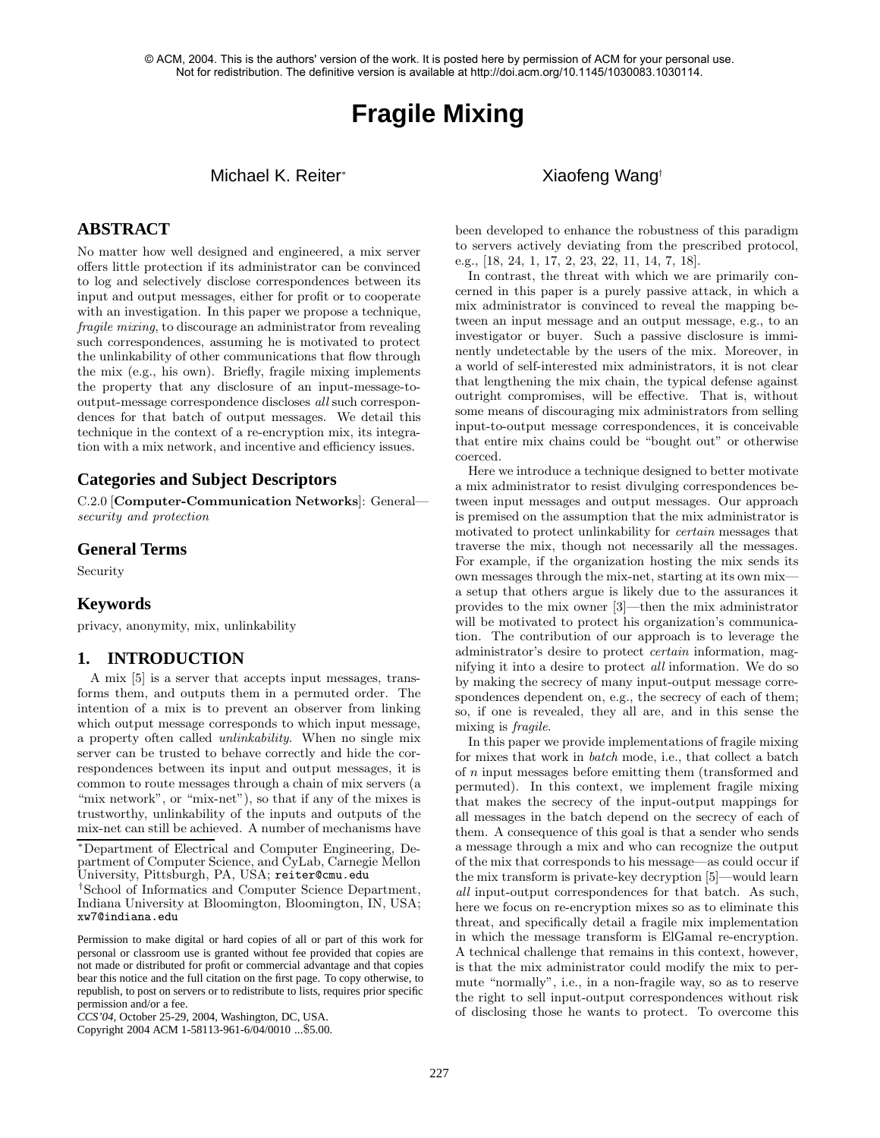# **Fragile Mixing**

# Michael K. Reiter∗ Xiaofeng Wang†

# **ABSTRACT**

No matter how well designed and engineered, a mix server offers little protection if its administrator can be convinced to log and selectively disclose correspondences between its input and output messages, either for profit or to cooperate with an investigation. In this paper we propose a technique, fragile mixing, to discourage an administrator from revealing such correspondences, assuming he is motivated to protect the unlinkability of other communications that flow through the mix (e.g., his own). Briefly, fragile mixing implements the property that any disclosure of an input-message-tooutput-message correspondence discloses all such correspondences for that batch of output messages. We detail this technique in the context of a re-encryption mix, its integration with a mix network, and incentive and efficiency issues.

#### **Categories and Subject Descriptors**

C.2.0 [**Computer-Communication Networks**]: General security and protection

#### **General Terms**

Security

#### **Keywords**

privacy, anonymity, mix, unlinkability

# **1. INTRODUCTION**

A mix [5] is a server that accepts input messages, transforms them, and outputs them in a permuted order. The intention of a mix is to prevent an observer from linking which output message corresponds to which input message, a property often called unlinkability. When no single mix server can be trusted to behave correctly and hide the correspondences between its input and output messages, it is common to route messages through a chain of mix servers (a "mix network", or "mix-net"), so that if any of the mixes is trustworthy, unlinkability of the inputs and outputs of the mix-net can still be achieved. A number of mechanisms have

∗Department of Electrical and Computer Engineering, Department of Computer Science, and CyLab, Carnegie Mellon University, Pittsburgh, PA, USA; reiter@cmu.edu

†School of Informatics and Computer Science Department, Indiana University at Bloomington, Bloomington, IN, USA; xw7@indiana.edu

Permission to make digital or hard copies of all or part of this work for personal or classroom use is granted without fee provided that copies are not made or distributed for profit or commercial advantage and that copies bear this notice and the full citation on the first page. To copy otherwise, to republish, to post on servers or to redistribute to lists, requires prior specific permission and/or a fee.

been developed to enhance the robustness of this paradigm to servers actively deviating from the prescribed protocol, e.g., [18, 24, 1, 17, 2, 23, 22, 11, 14, 7, 18].

In contrast, the threat with which we are primarily concerned in this paper is a purely passive attack, in which a mix administrator is convinced to reveal the mapping between an input message and an output message, e.g., to an investigator or buyer. Such a passive disclosure is imminently undetectable by the users of the mix. Moreover, in a world of self-interested mix administrators, it is not clear that lengthening the mix chain, the typical defense against outright compromises, will be effective. That is, without some means of discouraging mix administrators from selling input-to-output message correspondences, it is conceivable that entire mix chains could be "bought out" or otherwise coerced.

Here we introduce a technique designed to better motivate a mix administrator to resist divulging correspondences between input messages and output messages. Our approach is premised on the assumption that the mix administrator is motivated to protect unlinkability for certain messages that traverse the mix, though not necessarily all the messages. For example, if the organization hosting the mix sends its own messages through the mix-net, starting at its own mix a setup that others argue is likely due to the assurances it provides to the mix owner [3]—then the mix administrator will be motivated to protect his organization's communication. The contribution of our approach is to leverage the administrator's desire to protect certain information, magnifying it into a desire to protect all information. We do so by making the secrecy of many input-output message correspondences dependent on, e.g., the secrecy of each of them; so, if one is revealed, they all are, and in this sense the mixing is fragile.

In this paper we provide implementations of fragile mixing for mixes that work in batch mode, i.e., that collect a batch of n input messages before emitting them (transformed and permuted). In this context, we implement fragile mixing that makes the secrecy of the input-output mappings for all messages in the batch depend on the secrecy of each of them. A consequence of this goal is that a sender who sends a message through a mix and who can recognize the output of the mix that corresponds to his message—as could occur if the mix transform is private-key decryption [5]—would learn all input-output correspondences for that batch. As such, here we focus on re-encryption mixes so as to eliminate this threat, and specifically detail a fragile mix implementation in which the message transform is ElGamal re-encryption. A technical challenge that remains in this context, however, is that the mix administrator could modify the mix to permute "normally", i.e., in a non-fragile way, so as to reserve the right to sell input-output correspondences without risk of disclosing those he wants to protect. To overcome this

*CCS'04,* October 25-29, 2004, Washington, DC, USA.

Copyright 2004 ACM 1-58113-961-6/04/0010 ...\$5.00.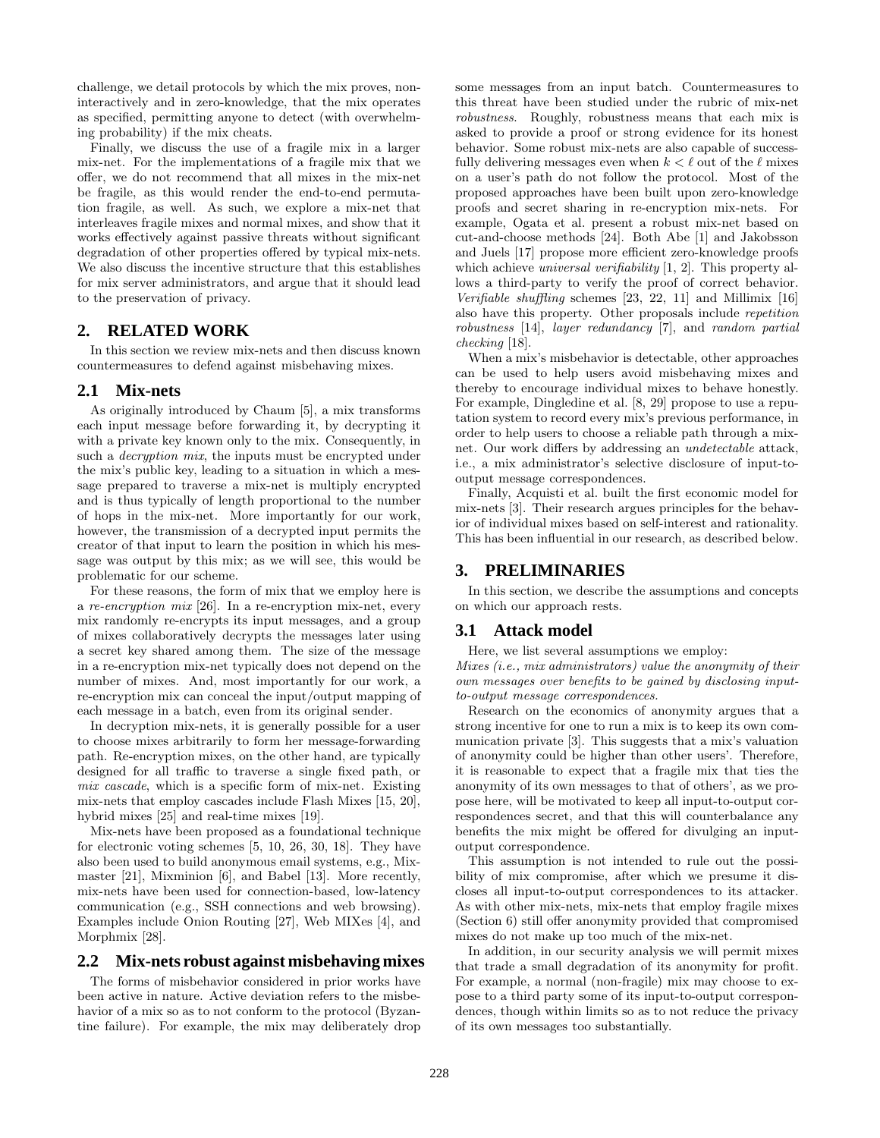challenge, we detail protocols by which the mix proves, noninteractively and in zero-knowledge, that the mix operates as specified, permitting anyone to detect (with overwhelming probability) if the mix cheats.

Finally, we discuss the use of a fragile mix in a larger mix-net. For the implementations of a fragile mix that we offer, we do not recommend that all mixes in the mix-net be fragile, as this would render the end-to-end permutation fragile, as well. As such, we explore a mix-net that interleaves fragile mixes and normal mixes, and show that it works effectively against passive threats without significant degradation of other properties offered by typical mix-nets. We also discuss the incentive structure that this establishes for mix server administrators, and argue that it should lead to the preservation of privacy.

# **2. RELATED WORK**

In this section we review mix-nets and then discuss known countermeasures to defend against misbehaving mixes.

#### **2.1 Mix-nets**

As originally introduced by Chaum [5], a mix transforms each input message before forwarding it, by decrypting it with a private key known only to the mix. Consequently, in such a *decryption mix*, the inputs must be encrypted under the mix's public key, leading to a situation in which a message prepared to traverse a mix-net is multiply encrypted and is thus typically of length proportional to the number of hops in the mix-net. More importantly for our work, however, the transmission of a decrypted input permits the creator of that input to learn the position in which his message was output by this mix; as we will see, this would be problematic for our scheme.

For these reasons, the form of mix that we employ here is a re-encryption mix [26]. In a re-encryption mix-net, every mix randomly re-encrypts its input messages, and a group of mixes collaboratively decrypts the messages later using a secret key shared among them. The size of the message in a re-encryption mix-net typically does not depend on the number of mixes. And, most importantly for our work, a re-encryption mix can conceal the input/output mapping of each message in a batch, even from its original sender.

In decryption mix-nets, it is generally possible for a user to choose mixes arbitrarily to form her message-forwarding path. Re-encryption mixes, on the other hand, are typically designed for all traffic to traverse a single fixed path, or mix cascade, which is a specific form of mix-net. Existing mix-nets that employ cascades include Flash Mixes [15, 20], hybrid mixes [25] and real-time mixes [19].

Mix-nets have been proposed as a foundational technique for electronic voting schemes [5, 10, 26, 30, 18]. They have also been used to build anonymous email systems, e.g., Mixmaster [21], Mixminion [6], and Babel [13]. More recently, mix-nets have been used for connection-based, low-latency communication (e.g., SSH connections and web browsing). Examples include Onion Routing [27], Web MIXes [4], and Morphmix [28].

#### **2.2 Mix-nets robust against misbehaving mixes**

The forms of misbehavior considered in prior works have been active in nature. Active deviation refers to the misbehavior of a mix so as to not conform to the protocol (Byzantine failure). For example, the mix may deliberately drop some messages from an input batch. Countermeasures to this threat have been studied under the rubric of mix-net robustness. Roughly, robustness means that each mix is asked to provide a proof or strong evidence for its honest behavior. Some robust mix-nets are also capable of successfully delivering messages even when  $k < \ell$  out of the  $\ell$  mixes on a user's path do not follow the protocol. Most of the proposed approaches have been built upon zero-knowledge proofs and secret sharing in re-encryption mix-nets. For example, Ogata et al. present a robust mix-net based on cut-and-choose methods [24]. Both Abe [1] and Jakobsson and Juels [17] propose more efficient zero-knowledge proofs which achieve *universal verifiability* [1, 2]. This property allows a third-party to verify the proof of correct behavior. Verifiable shuffling schemes [23, 22, 11] and Millimix [16] also have this property. Other proposals include repetition robustness [14], layer redundancy [7], and random partial checking [18].

When a mix's misbehavior is detectable, other approaches can be used to help users avoid misbehaving mixes and thereby to encourage individual mixes to behave honestly. For example, Dingledine et al. [8, 29] propose to use a reputation system to record every mix's previous performance, in order to help users to choose a reliable path through a mixnet. Our work differs by addressing an undetectable attack, i.e., a mix administrator's selective disclosure of input-tooutput message correspondences.

Finally, Acquisti et al. built the first economic model for mix-nets [3]. Their research argues principles for the behavior of individual mixes based on self-interest and rationality. This has been influential in our research, as described below.

#### **3. PRELIMINARIES**

In this section, we describe the assumptions and concepts on which our approach rests.

# **3.1 Attack model**

Here, we list several assumptions we employ:

Mixes (i.e., mix administrators) value the anonymity of their own messages over benefits to be gained by disclosing inputto-output message correspondences.

Research on the economics of anonymity argues that a strong incentive for one to run a mix is to keep its own communication private [3]. This suggests that a mix's valuation of anonymity could be higher than other users'. Therefore, it is reasonable to expect that a fragile mix that ties the anonymity of its own messages to that of others', as we propose here, will be motivated to keep all input-to-output correspondences secret, and that this will counterbalance any benefits the mix might be offered for divulging an inputoutput correspondence.

This assumption is not intended to rule out the possibility of mix compromise, after which we presume it discloses all input-to-output correspondences to its attacker. As with other mix-nets, mix-nets that employ fragile mixes (Section 6) still offer anonymity provided that compromised mixes do not make up too much of the mix-net.

In addition, in our security analysis we will permit mixes that trade a small degradation of its anonymity for profit. For example, a normal (non-fragile) mix may choose to expose to a third party some of its input-to-output correspondences, though within limits so as to not reduce the privacy of its own messages too substantially.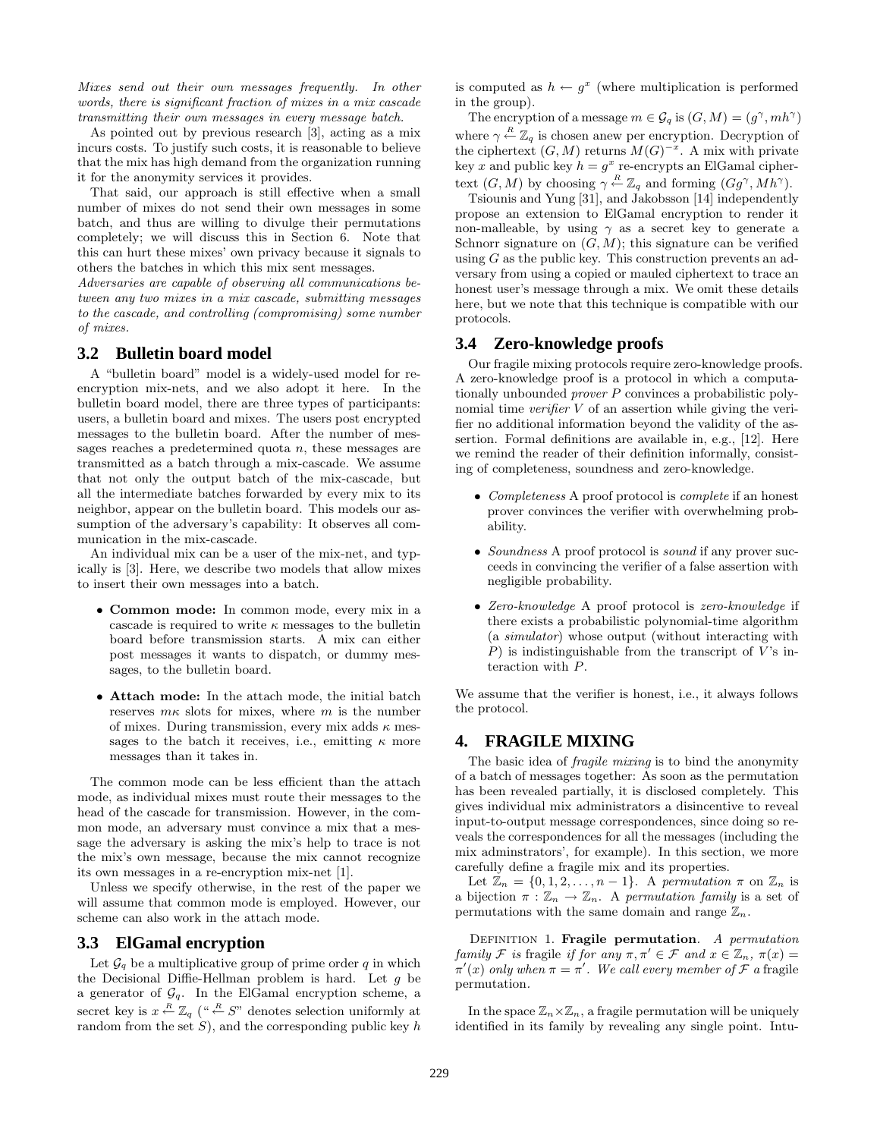Mixes send out their own messages frequently. In other words, there is significant fraction of mixes in a mix cascade transmitting their own messages in every message batch.

As pointed out by previous research [3], acting as a mix incurs costs. To justify such costs, it is reasonable to believe that the mix has high demand from the organization running it for the anonymity services it provides.

That said, our approach is still effective when a small number of mixes do not send their own messages in some batch, and thus are willing to divulge their permutations completely; we will discuss this in Section 6. Note that this can hurt these mixes' own privacy because it signals to others the batches in which this mix sent messages.

Adversaries are capable of observing all communications between any two mixes in a mix cascade, submitting messages to the cascade, and controlling (compromising) some number of mixes.

# **3.2 Bulletin board model**

A "bulletin board" model is a widely-used model for reencryption mix-nets, and we also adopt it here. In the bulletin board model, there are three types of participants: users, a bulletin board and mixes. The users post encrypted messages to the bulletin board. After the number of messages reaches a predetermined quota  $n$ , these messages are transmitted as a batch through a mix-cascade. We assume that not only the output batch of the mix-cascade, but all the intermediate batches forwarded by every mix to its neighbor, appear on the bulletin board. This models our assumption of the adversary's capability: It observes all communication in the mix-cascade.

An individual mix can be a user of the mix-net, and typically is [3]. Here, we describe two models that allow mixes to insert their own messages into a batch.

- **Common mode:** In common mode, every mix in a cascade is required to write  $\kappa$  messages to the bulletin board before transmission starts. A mix can either post messages it wants to dispatch, or dummy messages, to the bulletin board.
- **Attach mode:** In the attach mode, the initial batch reserves  $m\kappa$  slots for mixes, where m is the number of mixes. During transmission, every mix adds  $\kappa$  messages to the batch it receives, i.e., emitting  $\kappa$  more messages than it takes in.

The common mode can be less efficient than the attach mode, as individual mixes must route their messages to the head of the cascade for transmission. However, in the common mode, an adversary must convince a mix that a message the adversary is asking the mix's help to trace is not the mix's own message, because the mix cannot recognize its own messages in a re-encryption mix-net [1].

Unless we specify otherwise, in the rest of the paper we will assume that common mode is employed. However, our scheme can also work in the attach mode.

#### **3.3 ElGamal encryption**

Let  $\mathcal{G}_q$  be a multiplicative group of prime order q in which the Decisional Diffie-Hellman problem is hard. Let  $g$  be a generator of  $\mathcal{G}_q.$  In the ElGamal encryption scheme, a secret key is  $x \stackrel{R}{\leftarrow} \mathbb{Z}_q$  (" $\stackrel{R}{\leftarrow} S$ " denotes selection uniformly at random from the set  $S$ ), and the corresponding public key  $h$  is computed as  $h \leftarrow g^x$  (where multiplication is performed in the group).

The encryption of a message  $m \in \mathcal{G}_q$  is  $(G, M) = (g^{\gamma}, mh^{\gamma})$ where  $\gamma \stackrel{R}{\leftarrow} \mathbb{Z}_q$  is chosen anew per encryption. Decryption of the ciphertext  $(G, M)$  returns  $M(G)^{-x}$ . A mix with private key x and public key  $h = g^x$  re-encrypts an ElGamal ciphertext  $(G, M)$  by choosing  $\gamma \stackrel{R}{\leftarrow} \mathbb{Z}_q$  and forming  $(Gg^{\gamma}, Mh^{\gamma})$ .

Tsiounis and Yung [31], and Jakobsson [14] independently propose an extension to ElGamal encryption to render it non-malleable, by using  $\gamma$  as a secret key to generate a Schnorr signature on  $(G, M)$ ; this signature can be verified using  $G$  as the public key. This construction prevents an adversary from using a copied or mauled ciphertext to trace an honest user's message through a mix. We omit these details here, but we note that this technique is compatible with our protocols.

# **3.4 Zero-knowledge proofs**

Our fragile mixing protocols require zero-knowledge proofs. A zero-knowledge proof is a protocol in which a computationally unbounded prover P convinces a probabilistic polynomial time *verifier*  $V$  of an assertion while giving the verifier no additional information beyond the validity of the assertion. Formal definitions are available in, e.g., [12]. Here we remind the reader of their definition informally, consisting of completeness, soundness and zero-knowledge.

- Completeness A proof protocol is complete if an honest prover convinces the verifier with overwhelming probability.
- Soundness A proof protocol is sound if any prover succeeds in convincing the verifier of a false assertion with negligible probability.
- Zero-knowledge A proof protocol is zero-knowledge if there exists a probabilistic polynomial-time algorithm (a simulator) whose output (without interacting with P) is indistinguishable from the transcript of  $V$ 's interaction with P.

We assume that the verifier is honest, i.e., it always follows the protocol.

#### **4. FRAGILE MIXING**

The basic idea of *fragile mixing* is to bind the anonymity of a batch of messages together: As soon as the permutation has been revealed partially, it is disclosed completely. This gives individual mix administrators a disincentive to reveal input-to-output message correspondences, since doing so reveals the correspondences for all the messages (including the mix adminstrators', for example). In this section, we more carefully define a fragile mix and its properties.

Let  $\mathbb{Z}_n = \{0, 1, 2, \ldots, n-1\}$ . A permutation  $\pi$  on  $\mathbb{Z}_n$  is a bijection  $\pi : \mathbb{Z}_n \to \mathbb{Z}_n$ . A permutation family is a set of permutations with the same domain and range  $\mathbb{Z}_n$ .

Definition 1. **Fragile permutation**. A permutation family F is fragile if for any  $\pi, \pi' \in \mathcal{F}$  and  $x \in \mathbb{Z}_n$ ,  $\pi(x) =$  $\pi'(x)$  only when  $\pi = \pi'$ . We call every member of F a fragile permutation.

In the space  $\mathbb{Z}_n\times\mathbb{Z}_n$ , a fragile permutation will be uniquely identified in its family by revealing any single point. Intu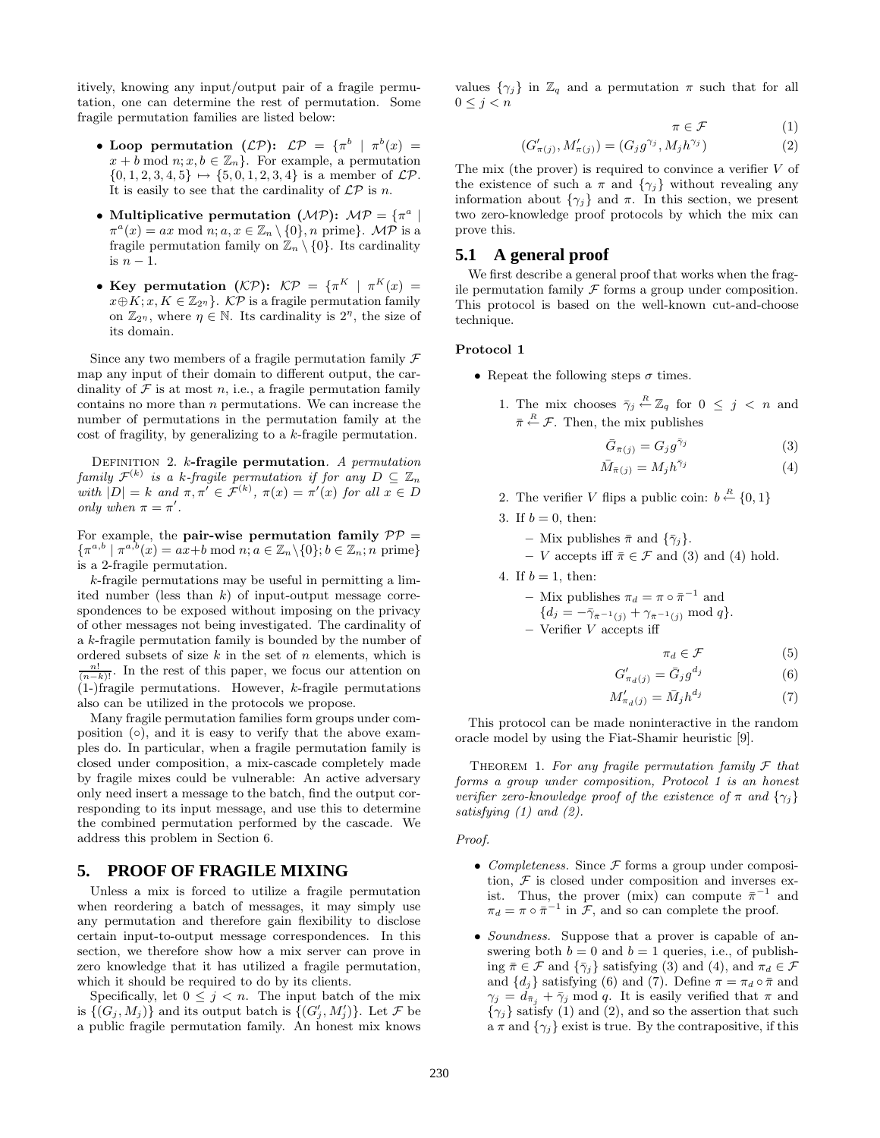itively, knowing any input/output pair of a fragile permutation, one can determine the rest of permutation. Some fragile permutation families are listed below:

- Loop permutation  $(L\mathcal{P})$ :  $L\mathcal{P} = {\pi^b | \pi^b(x)} =$  $x + b \mod n; x, b \in \mathbb{Z}_n$ . For example, a permutation  $\{0, 1, 2, 3, 4, 5\} \mapsto \{5, 0, 1, 2, 3, 4\}$  is a member of  $\mathcal{LP}$ . It is easily to see that the cardinality of  $\mathcal{LP}$  is n.
- Multiplicative permutation  $(MP)$ :  $MP = \{ \pi^a \mid$  $\pi^{a}(x) = ax \mod n; a, x \in \mathbb{Z}_{n} \setminus \{0\}, n \text{ prime}.$  MP is a fragile permutation family on  $\mathbb{Z}_n \setminus \{0\}$ . Its cardinality is  $n-1$ .
- Key permutation  $(KP)$ :  $KP = {\pi^K | \pi^K(x)}$  $x \oplus K$ ;  $x, K \in \mathbb{Z}_{2^n}$ .  $\mathcal{KP}$  is a fragile permutation family on  $\mathbb{Z}_{2\eta}$ , where  $\eta \in \mathbb{N}$ . Its cardinality is  $2^{\eta}$ , the size of its domain.

Since any two members of a fragile permutation family  $\mathcal F$ map any input of their domain to different output, the cardinality of  $\mathcal F$  is at most n, i.e., a fragile permutation family contains no more than  $n$  permutations. We can increase the number of permutations in the permutation family at the cost of fragility, by generalizing to a k-fragile permutation.

Definition 2. k**-fragile permutation**. A permutation family  $\mathcal{F}^{(k)}$  is a k-fragile permutation if for any  $D \subseteq \mathbb{Z}_n$ with  $|D| = k$  and  $\pi, \pi' \in \mathcal{F}^{(k)}$ ,  $\pi(x) = \pi'(x)$  for all  $x \in D$ only when  $\pi = \pi'$ .

For example, the **pair-wise permutation family**  $PP =$  $\{\pi^{a,b} \mid \pi^{a,b}(x) = ax + b \mod n; a \in \mathbb{Z}_n \setminus \{0\}; b \in \mathbb{Z}_n; n \text{ prime}\}$ is a 2-fragile permutation.

 $k$ -fragile permutations may be useful in permitting a limited number (less than  $k$ ) of input-output message correspondences to be exposed without imposing on the privacy of other messages not being investigated. The cardinality of a k-fragile permutation family is bounded by the number of ordered subsets of size  $k$  in the set of  $n$  elements, which is  $\frac{n!}{(n-k)!}$ . In the rest of this paper, we focus our attention on  $(1-)$ fragile permutations. However, k-fragile permutations also can be utilized in the protocols we propose.

Many fragile permutation families form groups under composition  $( \circ )$ , and it is easy to verify that the above examples do. In particular, when a fragile permutation family is closed under composition, a mix-cascade completely made by fragile mixes could be vulnerable: An active adversary only need insert a message to the batch, find the output corresponding to its input message, and use this to determine the combined permutation performed by the cascade. We address this problem in Section 6.

#### **5. PROOF OF FRAGILE MIXING**

Unless a mix is forced to utilize a fragile permutation when reordering a batch of messages, it may simply use any permutation and therefore gain flexibility to disclose certain input-to-output message correspondences. In this section, we therefore show how a mix server can prove in zero knowledge that it has utilized a fragile permutation, which it should be required to do by its clients.

Specifically, let  $0 \leq j \leq n$ . The input batch of the mix is  $\{(G_j, M_j)\}\$ and its output batch is  $\{(G'_j, M'_j)\}\$ . Let  $\mathcal F$  be a public fragile permutation family. An honest mix knows

values  $\{\gamma_i\}$  in  $\mathbb{Z}_q$  and a permutation  $\pi$  such that for all  $0 \leq j < n$ 

$$
\pi \in \mathcal{F} \tag{1}
$$

$$
(G'_{\pi(j)}, M'_{\pi(j)}) = (G_j g^{\gamma_j}, M_j h^{\gamma_j})
$$
\n(2)

The mix (the prover) is required to convince a verifier  $V$  of the existence of such a  $\pi$  and  $\{\gamma_i\}$  without revealing any information about  $\{\gamma_i\}$  and  $\pi$ . In this section, we present two zero-knowledge proof protocols by which the mix can prove this.

#### **5.1 A general proof**

We first describe a general proof that works when the fragile permutation family  $\mathcal F$  forms a group under composition. This protocol is based on the well-known cut-and-choose technique.

#### **Protocol 1**

- Repeat the following steps  $\sigma$  times.
	- 1. The mix chooses  $\bar{\gamma}_j \stackrel{R}{\leftarrow} \mathbb{Z}_q$  for  $0 \leq j \leq n$  and  $\bar{\pi} \stackrel{R}{\leftarrow} \mathcal{F}$ . Then, the mix publishes

$$
\bar{G}_{\bar{\pi}(j)} = G_j g^{\bar{\gamma}_j}
$$
\n
$$
\bar{M}_{\bar{\pi}(j)} = M_j h^{\bar{\gamma}_j}
$$
\n(3)\n(4)

2. The verifier V flips a public coin:  $b \stackrel{R}{\leftarrow} \{0,1\}$ 

3. If 
$$
b = 0
$$
, then:

- **–** Mix publishes  $\bar{\pi}$  and  $\{\bar{\gamma}_j\}$ .
- $-V$  accepts iff  $\bar{\pi} \in \mathcal{F}$  and (3) and (4) hold.

4. If  $b = 1$ , then:

\n- \n
$$
-\text{Mix publishes } \pi_d = \pi \circ \bar{\pi}^{-1} \text{ and } \{d_j = -\bar{\gamma}_{\bar{\pi}^{-1}(j)} + \gamma_{\bar{\pi}^{-1}(j)} \mod q\}.
$$
\n
\n- \n $-\text{Verifier } V \text{ accepts iff}$ \n
\n

$$
\pi_d \in \mathcal{F} \tag{5}
$$

$$
G'_{\pi_d(j)} = \bar{G}_j g^{d_j} \tag{6}
$$

$$
M'_{\pi_d(j)} = \bar{M}_j h^{d_j} \tag{7}
$$

This protocol can be made noninteractive in the random oracle model by using the Fiat-Shamir heuristic [9].

THEOREM 1. For any fragile permutation family  $\mathcal F$  that forms a group under composition, Protocol 1 is an honest verifier zero-knowledge proof of the existence of  $\pi$  and  $\{\gamma_i\}$ satisfying  $(1)$  and  $(2)$ .

Proof.

- *Completeness.* Since  $\mathcal F$  forms a group under composition,  $\mathcal F$  is closed under composition and inverses exist. Thus, the prover (mix) can compute  $\bar{\pi}^{-1}$  and  $\pi_d = \pi \circ \bar{\pi}^{-1}$  in  $\mathcal{F}$ , and so can complete the proof.
- *Soundness*. Suppose that a prover is capable of answering both  $b = 0$  and  $b = 1$  queries, i.e., of publishing  $\bar{\pi} \in \mathcal{F}$  and  $\{\bar{\gamma}_i\}$  satisfying (3) and (4), and  $\pi_d \in \mathcal{F}$ and  $\{d_i\}$  satisfying (6) and (7). Define  $\pi = \pi_d \circ \bar{\pi}$  and  $\gamma_j = d_{\bar{\pi}_j} + \bar{\gamma}_j \mod q$ . It is easily verified that  $\pi$  and  ${\gamma_i}$  satisfy (1) and (2), and so the assertion that such a  $\pi$  and  $\{\gamma_i\}$  exist is true. By the contrapositive, if this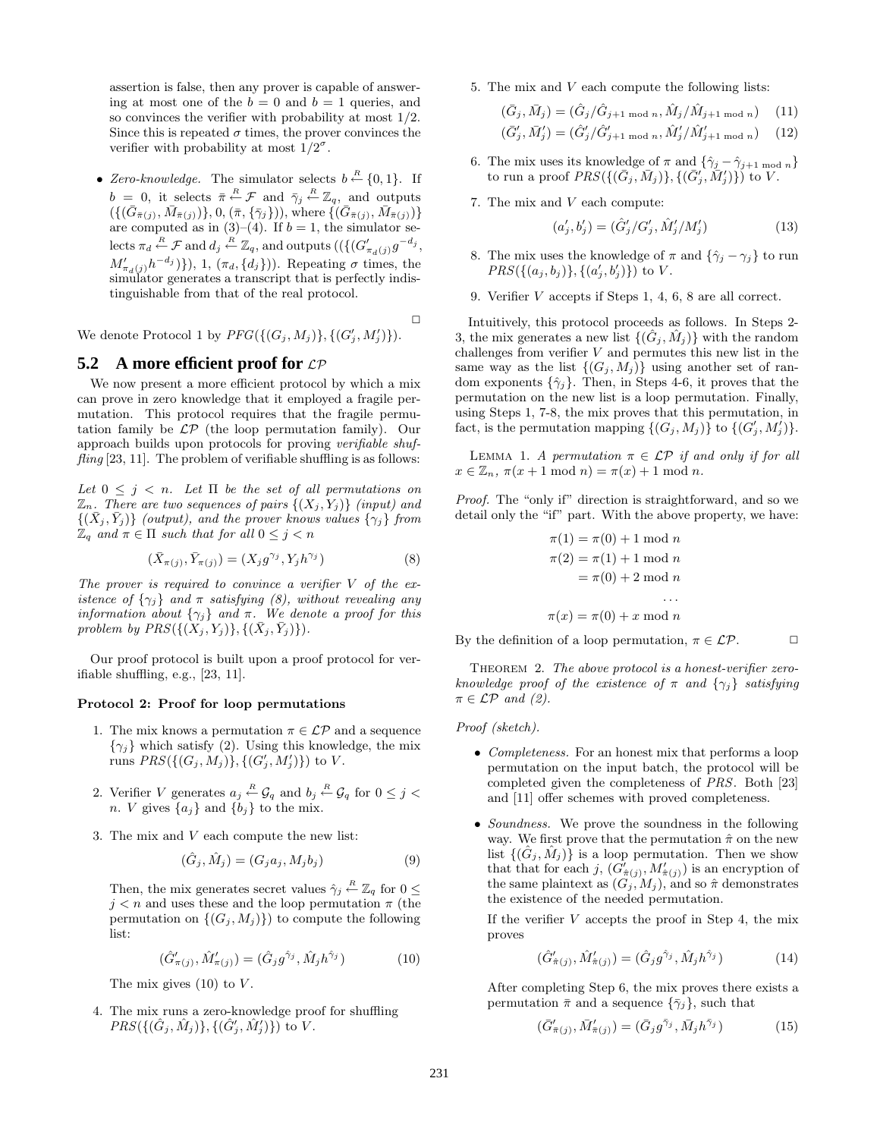assertion is false, then any prover is capable of answering at most one of the  $b = 0$  and  $b = 1$  queries, and so convinces the verifier with probability at most 1/2. Since this is repeated  $\sigma$  times, the prover convinces the verifier with probability at most  $1/2^{\sigma}$ .

• Zero-knowledge. The simulator selects  $b \stackrel{R}{\leftarrow} \{0,1\}$ . If  $b = 0$ , it selects  $\bar{\pi} \stackrel{R}{\leftarrow} \mathcal{F}$  and  $\bar{\gamma}_j \stackrel{R}{\leftarrow} \mathbb{Z}_q$ , and outputs  $(\{(\bar{G}_{\bar{\pi}(j)},\bar{M}_{\bar{\pi}(j)})\},0,(\bar{\pi},\{\bar{\gamma}_j\})),$  where  $\{(\bar{G}_{\bar{\pi}(j)},\bar{M}_{\bar{\pi}(j)})\}$ are computed as in  $(3)-(4)$ . If  $b=1$ , the simulator selects  $\pi_d \stackrel{R}{\leftarrow} \mathcal{F}$  and  $d_j \stackrel{R}{\leftarrow} \mathbb{Z}_q$ , and outputs  $((\{(G'_{\pi_d(j)}g^{-d_j},$  $M'_{\pi_d(j)}h^{-d_j}$ }, 1,  $(\pi_d, \{d_j\})$ ). Repeating  $\sigma$  times, the simulator generates a transcript that is perfectly indistinguishable from that of the real protocol.

 $\Box$ 

We denote Protocol 1 by  $PFG(\{(G_j, M_j)\}, \{(G'_j, M'_j)\}).$ 

#### **5.2** A more efficient proof for  $LP$

We now present a more efficient protocol by which a mix can prove in zero knowledge that it employed a fragile permutation. This protocol requires that the fragile permutation family be  $\mathcal{LP}$  (the loop permutation family). Our approach builds upon protocols for proving verifiable shuf $fling$  [23, 11]. The problem of verifiable shuffling is as follows:

Let  $0 \leq j \leq n$ . Let  $\Pi$  be the set of all permutations on  $\mathbb{Z}_n$ . There are two sequences of pairs  $\{(X_j,Y_j)\}$  (input) and  $\{(\bar{X}_j, \bar{Y}_j)\}$  (output), and the prover knows values  $\{\gamma_j\}$  from  $\mathbb{Z}_q$  and  $\pi \in \Pi$  such that for all  $0 \leq j < n$ 

$$
(\bar{X}_{\pi(j)}, \bar{Y}_{\pi(j)}) = (X_j g^{\gamma_j}, Y_j h^{\gamma_j})
$$
\n(8)

The prover is required to convince a verifier  $V$  of the existence of  $\{\gamma_j\}$  and  $\pi$  satisfying (8), without revealing any information about  $\{\gamma_j\}$  and  $\pi$ . We denote a proof for this problem by  $PRS({(X_j, Y_j)}, {(X_j, Y_j)}).$ 

Our proof protocol is built upon a proof protocol for verifiable shuffling, e.g., [23, 11].

#### **Protocol 2: Proof for loop permutations**

- 1. The mix knows a permutation  $\pi \in \mathcal{LP}$  and a sequence  ${\gamma_i}$  which satisfy (2). Using this knowledge, the mix runs  $PRS({(G_j, M_j)}$ ,  ${(G'_j, M'_j)}$ ) to V.
- 2. Verifier V generates  $a_j \stackrel{R}{\leftarrow} \mathcal{G}_q$  and  $b_j \stackrel{R}{\leftarrow} \mathcal{G}_q$  for  $0 \leq j <$ n. V gives  $\{a_i\}$  and  $\{b_i\}$  to the mix.
- 3. The mix and V each compute the new list:

$$
(\hat{G}_j, \hat{M}_j) = (G_j a_j, M_j b_j)
$$
\n
$$
(9)
$$

Then, the mix generates secret values  $\hat{\gamma}_j \stackrel{R}{\leftarrow} \mathbb{Z}_q$  for  $0 \leq$  $j < n$  and uses these and the loop permutation  $\pi$  (the permutation on  $\{(G_j, M_j)\}\)$  to compute the following list:

$$
(\hat{G}'_{\pi(j)}, \hat{M}'_{\pi(j)}) = (\hat{G}_j g^{\hat{\gamma}_j}, \hat{M}_j h^{\hat{\gamma}_j})
$$
(10)

The mix gives  $(10)$  to V.

4. The mix runs a zero-knowledge proof for shuffling  $PRS({{\hat{G}_j}, \hat{M}_j)}, {{\hat{G}'_j}, \hat{M}'_j})\}$  to V.

5. The mix and V each compute the following lists:

$$
(\bar{G}_j, \bar{M}_j) = (\hat{G}_j / \hat{G}_{j+1 \text{ mod } n}, \hat{M}_j / \hat{M}_{j+1 \text{ mod } n}) \quad (11)
$$
  

$$
(\bar{G}'_j, \bar{M}_j) = (\hat{G}'_j / \hat{G}'_j + \hat{M}_j / \hat{M}_j + \hat{M}_j) \quad (12)
$$

$$
(\bar{G}'_j, \bar{M}'_j) = (\hat{G}'_j / \hat{G}'_{j+1 \mod n}, \hat{M}'_j / \hat{M}'_{j+1 \mod n}) \quad (12)
$$

- 6. The mix uses its knowledge of  $\pi$  and  $\{\hat{\gamma}_j \hat{\gamma}_{j+1 \mod n}\}$ to run a proof  $PRS(\{(\bar{G}_j, \bar{M}_j)\}, \{(\bar{G}_j', \bar{M}_j')\})$  to  $V.$
- 7. The mix and V each compute:

$$
(a'_{j}, b'_{j}) = (\hat{G}'_{j}/G'_{j}, \hat{M}'_{j}/M'_{j})
$$
\n(13)

- 8. The mix uses the knowledge of  $\pi$  and  $\{\hat{\gamma}_j \gamma_j\}$  to run  $PRS({ (a_j, b_j)},{ (a'_j, b'_j) })$  to V.
- 9. Verifier V accepts if Steps 1, 4, 6, 8 are all correct.

Intuitively, this protocol proceeds as follows. In Steps 2- 3, the mix generates a new list  $\{(\hat{G}_i, \hat{M}_i)\}\$  with the random challenges from verifier  $V$  and permutes this new list in the same way as the list  $\{(G_i, M_i)\}\$ using another set of random exponents  $\{\hat{\gamma}_i\}$ . Then, in Steps 4-6, it proves that the permutation on the new list is a loop permutation. Finally, using Steps 1, 7-8, the mix proves that this permutation, in fact, is the permutation mapping  $\{(G_j, M_j)\}\$  to  $\{(G'_j, M'_j)\}.$ 

LEMMA 1. A permutation  $\pi \in \mathcal{LP}$  if and only if for all  $x \in \mathbb{Z}_n$ ,  $\pi(x+1 \mod n) = \pi(x)+1 \mod n$ .

Proof. The "only if" direction is straightforward, and so we detail only the "if" part. With the above property, we have:

$$
\pi(1) = \pi(0) + 1 \mod n
$$
  
\n
$$
\pi(2) = \pi(1) + 1 \mod n
$$
  
\n
$$
= \pi(0) + 2 \mod n
$$
  
\n...  
\n
$$
\pi(x) = \pi(0) + x \mod n
$$

By the definition of a loop permutation,  $\pi \in \mathcal{LP}$ .  $\Box$ 

THEOREM 2. The above protocol is a honest-verifier zeroknowledge proof of the existence of  $\pi$  and  $\{\gamma_i\}$  satisfying  $\pi \in \mathcal{LP}$  and (2).

Proof (sketch).

- *Completeness*. For an honest mix that performs a loop permutation on the input batch, the protocol will be completed given the completeness of PRS. Both [23] and [11] offer schemes with proved completeness.
- *Soundness*. We prove the soundness in the following way. We first prove that the permutation  $\hat{\pi}$  on the new list  $\{(\hat{G}_j, \hat{M}_j)\}\$ is a loop permutation. Then we show that that for each j,  $(G'_{\hat{\pi}(j)}, M'_{\hat{\pi}(j)})$  is an encryption of the same plaintext as  $(G_j, M_j)$ , and so  $\hat{\pi}$  demonstrates the existence of the needed permutation.

If the verifier  $V$  accepts the proof in Step 4, the mix proves

$$
(\hat{G}'_{\hat{\pi}(j)}, \hat{M}'_{\hat{\pi}(j)}) = (\hat{G}_j g^{\hat{\gamma}_j}, \hat{M}_j h^{\hat{\gamma}_j})
$$
(14)

After completing Step 6, the mix proves there exists a permutation  $\bar{\pi}$  and a sequence  $\{\bar{\gamma}_j\}$ , such that

$$
(\bar{G}'_{\bar{\pi}(j)}, \bar{M}'_{\bar{\pi}(j)}) = (\bar{G}_j g^{\bar{\gamma}_j}, \bar{M}_j h^{\bar{\gamma}_j})
$$
(15)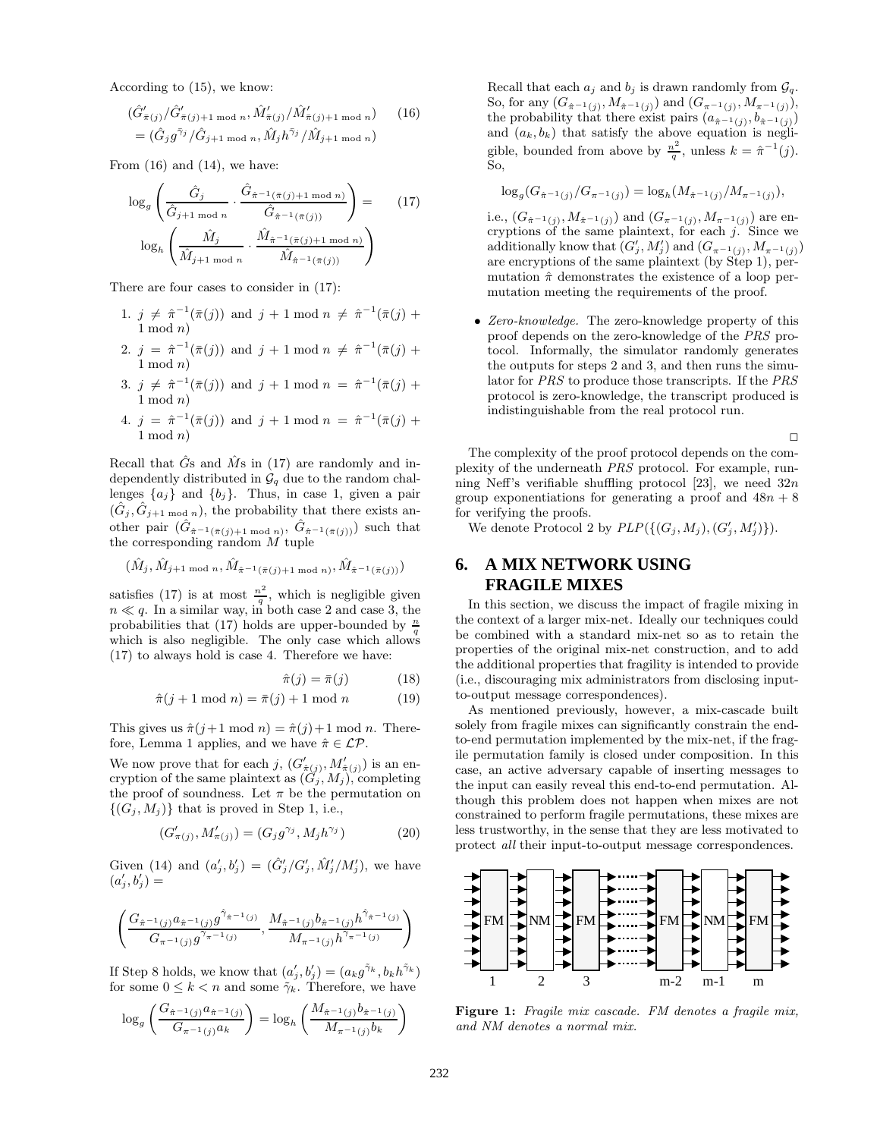According to (15), we know:

$$
(\hat{G}'_{\bar{\pi}(j)}/\hat{G}'_{\bar{\pi}(j)+1 \mod n}, \hat{M}'_{\bar{\pi}(j)}/\hat{M}'_{\bar{\pi}(j)+1 \mod n})
$$
 (16)  
=  $(\hat{G}_j g^{\bar{\gamma}_j}/\hat{G}_{j+1 \mod n}, \hat{M}_j h^{\bar{\gamma}_j}/\hat{M}_{j+1 \mod n})$ 

From  $(16)$  and  $(14)$ , we have:

$$
\log_g \left( \frac{\hat{G}_j}{\hat{G}_{j+1 \mod n}} \cdot \frac{\hat{G}_{\hat{\pi}^{-1}(\bar{\pi}(j)+1 \mod n)}}{\hat{G}_{\hat{\pi}^{-1}(\bar{\pi}(j))}} \right) = \qquad (17)
$$

$$
\log_h \left( \frac{\hat{M}_j}{\hat{M}_{j+1 \mod n}} \cdot \frac{\hat{M}_{\hat{\pi}^{-1}(\bar{\pi}(j)+1 \mod n)}}{\hat{M}_{\hat{\pi}^{-1}(\bar{\pi}(j))}} \right)
$$

There are four cases to consider in (17):

- 1.  $j \neq \hat{\pi}^{-1}(\bar{\pi}(j))$  and  $j + 1 \mod n \neq \hat{\pi}^{-1}(\bar{\pi}(j) +$  $1 \mod n$
- 2.  $j = \hat{\pi}^{-1}(\bar{\pi}(j))$  and  $j + 1 \mod n \neq \hat{\pi}^{-1}(\bar{\pi}(j) +$  $1 \mod n$
- 3.  $j \neq \hat{\pi}^{-1}(\bar{\pi}(j))$  and  $j + 1 \mod n = \hat{\pi}^{-1}(\bar{\pi}(j) +$  $1 \mod n$
- 4.  $j = \hat{\pi}^{-1}(\bar{\pi}(j))$  and  $j + 1 \mod n = \hat{\pi}^{-1}(\bar{\pi}(j) +$  $1 \mod n$

Recall that  $\hat{G}$ s and  $\hat{M}$ s in (17) are randomly and independently distributed in  $\mathcal{G}_q$  due to the random challenges  $\{a_j\}$  and  $\{b_j\}$ . Thus, in case 1, given a pair  $(G_j, G_{j+1 \mod n})$ , the probability that there exists another pair  $(\hat{G}_{\hat{\pi}^{-1}(\bar{\pi}(j)+1 \mod n)}, \hat{G}_{\hat{\pi}^{-1}(\bar{\pi}(j))})$  such that the corresponding random  $M$  tuple

$$
(\hat{M}_j, \hat{M}_{j+1 \mod n}, \hat{M}_{\hat{\pi}^{-1}(\bar{\pi}(j)+1 \mod n)}, \hat{M}_{\hat{\pi}^{-1}(\bar{\pi}(j))})
$$

satisfies (17) is at most  $\frac{n^2}{q}$ , which is negligible given  $n \ll q$ . In a similar way, in both case 2 and case 3, the probabilities that (17) holds are upper-bounded by  $\frac{n}{q}$ which is also negligible. The only case which allows (17) to always hold is case 4. Therefore we have:

$$
\hat{\pi}(j) = \bar{\pi}(j) \tag{18}
$$

$$
\hat{\pi}(j+1 \mod n) = \bar{\pi}(j) + 1 \mod n \tag{19}
$$

This gives us  $\hat{\pi}(j+1 \mod n) = \hat{\pi}(j)+1 \mod n$ . Therefore, Lemma 1 applies, and we have  $\hat{\pi} \in \mathcal{LP}$ .

We now prove that for each j,  $(G'_{\hat{\pi}(j)}, M'_{\hat{\pi}(j)})$  is an encryption of the same plaintext as  $(G_j, M_j)$ , completing the proof of soundness. Let  $\pi$  be the permutation on  $\{(G_i, M_i)\}\)$  that is proved in Step 1, i.e.,

$$
(G'_{\pi(j)}, M'_{\pi(j)}) = (G_j g^{\gamma_j}, M_j h^{\gamma_j})
$$
\n(20)

Given (14) and  $(a'_j, b'_j) = (\hat{G}'_j/G'_j, \hat{M}'_j/M'_j)$ , we have  $(a'_j,b'_j)=$ 

$$
\left(\frac{G_{\hat{\pi}^{-1}(j)}a_{\hat{\pi}^{-1}(j)}g^{\hat{\gamma}_{\hat{\pi}^{-1}(j)}}, M_{\hat{\pi}^{-1}(j)}b_{\hat{\pi}^{-1}(j)}h^{\hat{\gamma}_{\hat{\pi}^{-1}(j)}}}{G_{\pi^{-1}(j)}g^{\gamma_{\pi^{-1}(j)}}}, \frac{M_{\hat{\pi}^{-1}(j)}b_{\hat{\pi}^{-1}(j)}h^{\hat{\gamma}_{\hat{\pi}^{-1}(j)}}}{M_{\pi^{-1}(j)}h^{\gamma_{\pi^{-1}(j)}}}\right) \longrightarrow
$$

If Step 8 holds, we know that  $(a'_j, b'_j) = (a_k g^{\tilde{\gamma}_k}, b_k h^{\tilde{\gamma}_k})$ for some  $0 \leq k < n$  and some  $\tilde{\gamma}_k$ . Therefore, we have

$$
\log_g \left( \frac{G_{\hat{\pi}^{-1}(j)} a_{\hat{\pi}^{-1}(j)}}{G_{\pi^{-1}(j)} a_k} \right) = \log_h \left( \frac{M_{\hat{\pi}^{-1}(j)} b_{\hat{\pi}^{-1}(j)}}{M_{\pi^{-1}(j)} b_k} \right)
$$
 **Fig1**

Recall that each  $a_j$  and  $b_j$  is drawn randomly from  $\mathcal{G}_q$ . So, for any  $(G_{\hat{\pi}^{-1}(j)}, M_{\hat{\pi}^{-1}(j)})$  and  $(G_{\pi^{-1}(j)}, M_{\pi^{-1}(j)}),$ the probability that there exist pairs  $(a_{\hat{\pi}^{-1}(j)}, b_{\hat{\pi}^{-1}(j)})$ and  $(a_k, b_k)$  that satisfy the above equation is negligible, bounded from above by  $\frac{n^2}{q}$ , unless  $k = \hat{\pi}^{-1}(j)$ . So,

$$
\log_g(G_{\hat{\pi}^{-1}(j)}/G_{\pi^{-1}(j)}) = \log_h(M_{\hat{\pi}^{-1}(j)}/M_{\pi^{-1}(j)}),
$$

i.e.,  $(G_{\hat{\pi}^{-1}(j)}, M_{\hat{\pi}^{-1}(j)})$  and  $(G_{\pi^{-1}(j)}, M_{\pi^{-1}(j)})$  are encryptions of the same plaintext, for each  $j$ . Since we additionally know that  $(G'_{j}, M'_{j})$  and  $(G_{\pi^{-1}(j)}, M_{\pi^{-1}(j)})$ are encryptions of the same plaintext (by Step 1), permutation  $\hat{\pi}$  demonstrates the existence of a loop permutation meeting the requirements of the proof.

• Zero-knowledge. The zero-knowledge property of this proof depends on the zero-knowledge of the PRS protocol. Informally, the simulator randomly generates the outputs for steps 2 and 3, and then runs the simulator for PRS to produce those transcripts. If the PRS protocol is zero-knowledge, the transcript produced is indistinguishable from the real protocol run.

 $\Box$ 

The complexity of the proof protocol depends on the complexity of the underneath PRS protocol. For example, running Neff's verifiable shuffling protocol [23], we need  $32n$ group exponentiations for generating a proof and  $48n + 8$ for verifying the proofs.

We denote Protocol 2 by  $PLP(\{(G_j, M_j), (G'_j, M'_j)\}).$ 

# **6. A MIX NETWORK USING FRAGILE MIXES**

In this section, we discuss the impact of fragile mixing in the context of a larger mix-net. Ideally our techniques could be combined with a standard mix-net so as to retain the properties of the original mix-net construction, and to add the additional properties that fragility is intended to provide (i.e., discouraging mix administrators from disclosing inputto-output message correspondences).

As mentioned previously, however, a mix-cascade built solely from fragile mixes can significantly constrain the endto-end permutation implemented by the mix-net, if the fragile permutation family is closed under composition. In this case, an active adversary capable of inserting messages to the input can easily reveal this end-to-end permutation. Although this problem does not happen when mixes are not constrained to perform fragile permutations, these mixes are less trustworthy, in the sense that they are less motivated to protect all their input-to-output message correspondences.



Figure 1: Fragile mix cascade. FM denotes a fragile mix, and NM denotes a normal mix.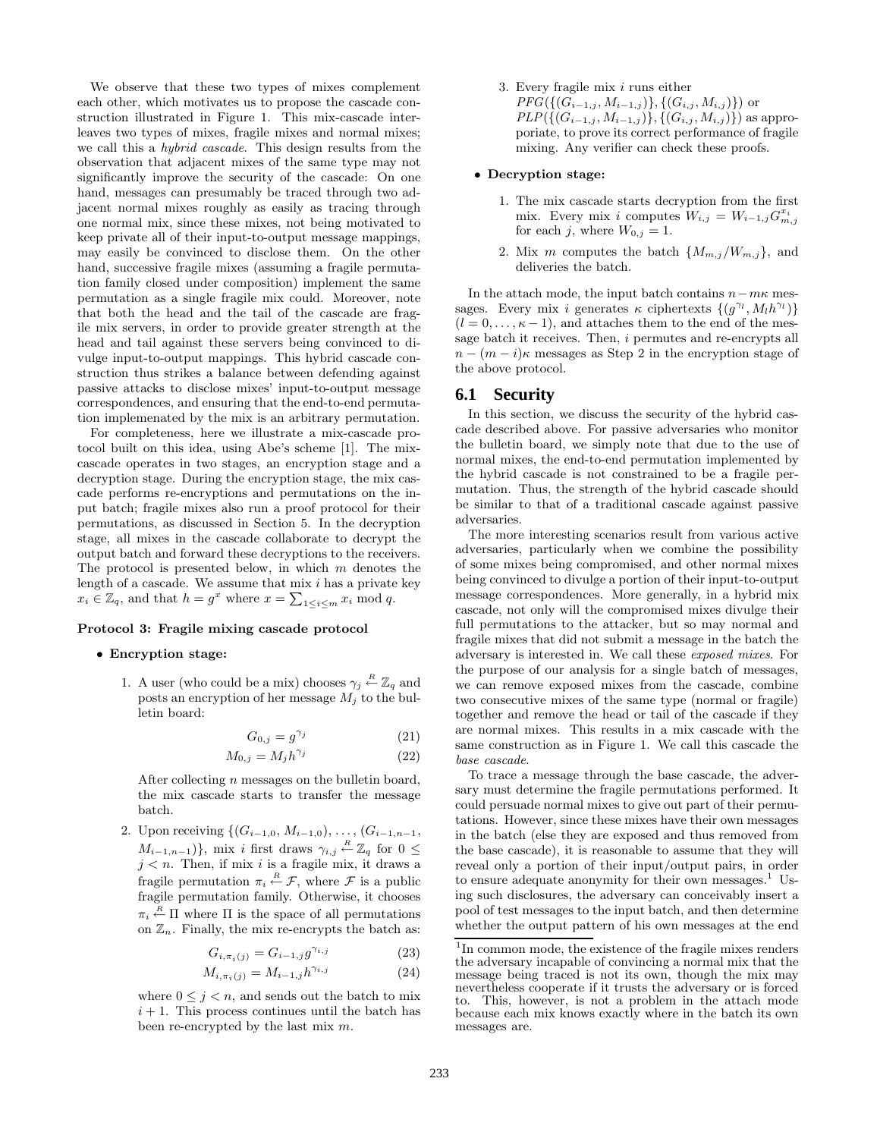We observe that these two types of mixes complement each other, which motivates us to propose the cascade construction illustrated in Figure 1. This mix-cascade interleaves two types of mixes, fragile mixes and normal mixes; we call this a hybrid cascade. This design results from the observation that adjacent mixes of the same type may not significantly improve the security of the cascade: On one hand, messages can presumably be traced through two adjacent normal mixes roughly as easily as tracing through one normal mix, since these mixes, not being motivated to keep private all of their input-to-output message mappings, may easily be convinced to disclose them. On the other hand, successive fragile mixes (assuming a fragile permutation family closed under composition) implement the same permutation as a single fragile mix could. Moreover, note that both the head and the tail of the cascade are fragile mix servers, in order to provide greater strength at the head and tail against these servers being convinced to divulge input-to-output mappings. This hybrid cascade construction thus strikes a balance between defending against passive attacks to disclose mixes' input-to-output message correspondences, and ensuring that the end-to-end permutation implemenated by the mix is an arbitrary permutation.

For completeness, here we illustrate a mix-cascade protocol built on this idea, using Abe's scheme [1]. The mixcascade operates in two stages, an encryption stage and a decryption stage. During the encryption stage, the mix cascade performs re-encryptions and permutations on the input batch; fragile mixes also run a proof protocol for their permutations, as discussed in Section 5. In the decryption stage, all mixes in the cascade collaborate to decrypt the output batch and forward these decryptions to the receivers. The protocol is presented below, in which  $m$  denotes the length of a cascade. We assume that  $mix$  *i* has a private key  $x_i \in \mathbb{Z}_q$ , and that  $h = g^x$  where  $x = \sum_{1 \leq i \leq m} x_i \mod q$ .

#### **Protocol 3: Fragile mixing cascade protocol**

#### • **Encryption stage:**

1. A user (who could be a mix) chooses  $\gamma_j \stackrel{R}{\leftarrow} \mathbb{Z}_q$  and posts an encryption of her message  $M_i$  to the bulletin board:

$$
G_{0,j} = g^{\gamma_j} \tag{21}
$$

$$
M_{0,j} = M_j h^{\gamma_j} \tag{22}
$$

After collecting  $n$  messages on the bulletin board, the mix cascade starts to transfer the message batch.

2. Upon receiving  $\{(G_{i-1,0}, M_{i-1,0}), \ldots, (G_{i-1,n-1},$  $M_{i-1,n-1}$ }, mix *i* first draws  $\gamma_{i,j} \stackrel{R}{\leftarrow} \mathbb{Z}_q$  for  $0 \leq$  $j < n$ . Then, if mix i is a fragile mix, it draws a fragile permutation  $\pi_i \stackrel{R}{\leftarrow} \mathcal{F}$ , where  $\mathcal F$  is a public fragile permutation family. Otherwise, it chooses  $\pi_i \stackrel{R}{\leftarrow} \Pi$  where  $\Pi$  is the space of all permutations on  $\mathbb{Z}_n$ . Finally, the mix re-encrypts the batch as:

$$
G_{i, \pi_i(j)} = G_{i-1,j} g^{\gamma_{i,j}} \tag{23}
$$

$$
M_{i, \pi_i(j)} = M_{i-1,j} h^{\gamma_{i,j}} \tag{24}
$$

where  $0 \leq j < n$ , and sends out the batch to mix  $i+1$ . This process continues until the batch has been re-encrypted by the last mix  $m$ .

3. Every fragile mix i runs either  $PFG(\{(G_{i-1,j}, M_{i-1,j})\}, \{(G_{i,j}, M_{i,j})\})$  or  $PLP(\{(G_{i-1,j}, M_{i-1,j})\}, \{(G_{i,j}, M_{i,j})\})$  as approporiate, to prove its correct performance of fragile mixing. Any verifier can check these proofs.

#### • **Decryption stage:**

- 1. The mix cascade starts decryption from the first mix. Every mix i computes  $W_{i,j} = W_{i-1,j} G_{m,j}^{x_i}$ for each j, where  $W_{0,j} = 1$ .
- 2. Mix m computes the batch  $\{M_{m,j}/W_{m,j}\},\$ and deliveries the batch.

In the attach mode, the input batch contains  $n-m\kappa$  messages. Every mix i generates  $\kappa$  ciphertexts  $\{(g^{\gamma_l}, M_l h^{\gamma_l})\}$  $(l = 0, \ldots, \kappa - 1)$ , and attaches them to the end of the message batch it receives. Then, i permutes and re-encrypts all  $n - (m - i)\kappa$  messages as Step 2 in the encryption stage of the above protocol.

#### **6.1 Security**

In this section, we discuss the security of the hybrid cascade described above. For passive adversaries who monitor the bulletin board, we simply note that due to the use of normal mixes, the end-to-end permutation implemented by the hybrid cascade is not constrained to be a fragile permutation. Thus, the strength of the hybrid cascade should be similar to that of a traditional cascade against passive adversaries.

The more interesting scenarios result from various active adversaries, particularly when we combine the possibility of some mixes being compromised, and other normal mixes being convinced to divulge a portion of their input-to-output message correspondences. More generally, in a hybrid mix cascade, not only will the compromised mixes divulge their full permutations to the attacker, but so may normal and fragile mixes that did not submit a message in the batch the adversary is interested in. We call these exposed mixes. For the purpose of our analysis for a single batch of messages, we can remove exposed mixes from the cascade, combine two consecutive mixes of the same type (normal or fragile) together and remove the head or tail of the cascade if they are normal mixes. This results in a mix cascade with the same construction as in Figure 1. We call this cascade the base cascade.

To trace a message through the base cascade, the adversary must determine the fragile permutations performed. It could persuade normal mixes to give out part of their permutations. However, since these mixes have their own messages in the batch (else they are exposed and thus removed from the base cascade), it is reasonable to assume that they will reveal only a portion of their input/output pairs, in order to ensure adequate anonymity for their own messages.<sup>1</sup> Using such disclosures, the adversary can conceivably insert a pool of test messages to the input batch, and then determine whether the output pattern of his own messages at the end

<sup>&</sup>lt;sup>1</sup>In common mode, the existence of the fragile mixes renders the adversary incapable of convincing a normal mix that the message being traced is not its own, though the mix may nevertheless cooperate if it trusts the adversary or is forced to. This, however, is not a problem in the attach mode because each mix knows exactly where in the batch its own messages are.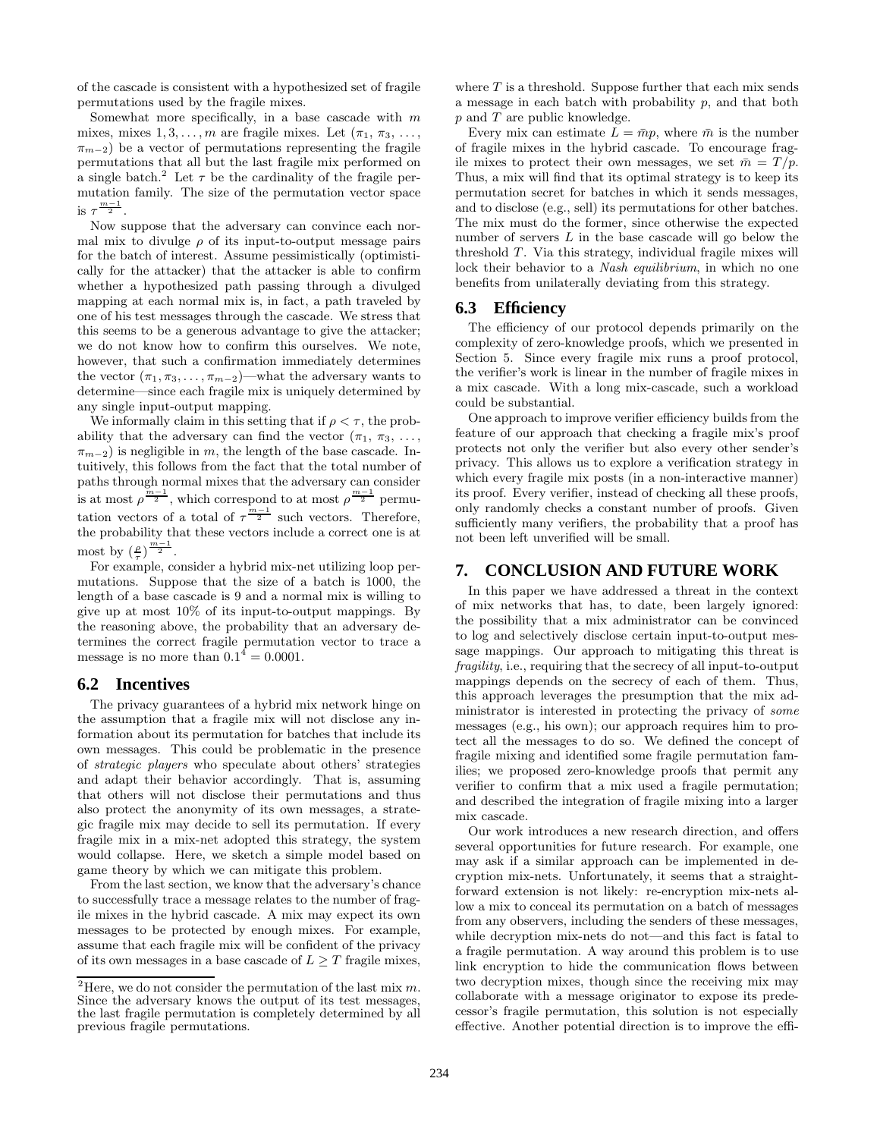of the cascade is consistent with a hypothesized set of fragile permutations used by the fragile mixes.

Somewhat more specifically, in a base cascade with  $m$ mixes, mixes  $1, 3, \ldots, m$  are fragile mixes. Let  $(\pi_1, \pi_3, \ldots,$  $\pi_{m-2}$ ) be a vector of permutations representing the fragile permutations that all but the last fragile mix performed on a single batch.<sup>2</sup> Let  $\tau$  be the cardinality of the fragile permutation family. The size of the permutation vector space is  $\tau^{\frac{m-1}{2}}$ .

Now suppose that the adversary can convince each normal mix to divulge  $\rho$  of its input-to-output message pairs for the batch of interest. Assume pessimistically (optimistically for the attacker) that the attacker is able to confirm whether a hypothesized path passing through a divulged mapping at each normal mix is, in fact, a path traveled by one of his test messages through the cascade. We stress that this seems to be a generous advantage to give the attacker; we do not know how to confirm this ourselves. We note, however, that such a confirmation immediately determines the vector  $(\pi_1, \pi_3, \ldots, \pi_{m-2})$ —what the adversary wants to determine—since each fragile mix is uniquely determined by any single input-output mapping.

We informally claim in this setting that if  $\rho < \tau$ , the probability that the adversary can find the vector  $(\pi_1, \pi_3, \ldots,$  $\pi_{m-2}$ ) is negligible in m, the length of the base cascade. Intuitively, this follows from the fact that the total number of paths through normal mixes that the adversary can consider is at most  $\rho^{\frac{m-1}{2}}$ , which correspond to at most  $\rho^{\frac{m-1}{2}}$  permutation vectors of a total of  $\tau^{\frac{m-1}{2}}$  such vectors. Therefore, the probability that these vectors include a correct one is at most by  $(\frac{\rho}{\tau})^{\frac{m-1}{2}}$ .

For example, consider a hybrid mix-net utilizing loop permutations. Suppose that the size of a batch is 1000, the length of a base cascade is 9 and a normal mix is willing to give up at most 10% of its input-to-output mappings. By the reasoning above, the probability that an adversary determines the correct fragile permutation vector to trace a message is no more than  $0.1^4 = 0.0001$ .

#### **6.2 Incentives**

The privacy guarantees of a hybrid mix network hinge on the assumption that a fragile mix will not disclose any information about its permutation for batches that include its own messages. This could be problematic in the presence of strategic players who speculate about others' strategies and adapt their behavior accordingly. That is, assuming that others will not disclose their permutations and thus also protect the anonymity of its own messages, a strategic fragile mix may decide to sell its permutation. If every fragile mix in a mix-net adopted this strategy, the system would collapse. Here, we sketch a simple model based on game theory by which we can mitigate this problem.

From the last section, we know that the adversary's chance to successfully trace a message relates to the number of fragile mixes in the hybrid cascade. A mix may expect its own messages to be protected by enough mixes. For example, assume that each fragile mix will be confident of the privacy of its own messages in a base cascade of  $L \geq T$  fragile mixes, where  $T$  is a threshold. Suppose further that each mix sends a message in each batch with probability  $p$ , and that both p and T are public knowledge.

Every mix can estimate  $L = \bar{m}p$ , where  $\bar{m}$  is the number of fragile mixes in the hybrid cascade. To encourage fragile mixes to protect their own messages, we set  $\bar{m} = T/p$ . Thus, a mix will find that its optimal strategy is to keep its permutation secret for batches in which it sends messages, and to disclose (e.g., sell) its permutations for other batches. The mix must do the former, since otherwise the expected number of servers L in the base cascade will go below the threshold T. Via this strategy, individual fragile mixes will lock their behavior to a *Nash equilibrium*, in which no one benefits from unilaterally deviating from this strategy.

#### **6.3 Efficiency**

The efficiency of our protocol depends primarily on the complexity of zero-knowledge proofs, which we presented in Section 5. Since every fragile mix runs a proof protocol, the verifier's work is linear in the number of fragile mixes in a mix cascade. With a long mix-cascade, such a workload could be substantial.

One approach to improve verifier efficiency builds from the feature of our approach that checking a fragile mix's proof protects not only the verifier but also every other sender's privacy. This allows us to explore a verification strategy in which every fragile mix posts (in a non-interactive manner) its proof. Every verifier, instead of checking all these proofs, only randomly checks a constant number of proofs. Given sufficiently many verifiers, the probability that a proof has not been left unverified will be small.

#### **7. CONCLUSION AND FUTURE WORK**

In this paper we have addressed a threat in the context of mix networks that has, to date, been largely ignored: the possibility that a mix administrator can be convinced to log and selectively disclose certain input-to-output message mappings. Our approach to mitigating this threat is fragility, i.e., requiring that the secrecy of all input-to-output mappings depends on the secrecy of each of them. Thus, this approach leverages the presumption that the mix administrator is interested in protecting the privacy of some messages (e.g., his own); our approach requires him to protect all the messages to do so. We defined the concept of fragile mixing and identified some fragile permutation families; we proposed zero-knowledge proofs that permit any verifier to confirm that a mix used a fragile permutation; and described the integration of fragile mixing into a larger mix cascade.

Our work introduces a new research direction, and offers several opportunities for future research. For example, one may ask if a similar approach can be implemented in decryption mix-nets. Unfortunately, it seems that a straightforward extension is not likely: re-encryption mix-nets allow a mix to conceal its permutation on a batch of messages from any observers, including the senders of these messages, while decryption mix-nets do not—and this fact is fatal to a fragile permutation. A way around this problem is to use link encryption to hide the communication flows between two decryption mixes, though since the receiving mix may collaborate with a message originator to expose its predecessor's fragile permutation, this solution is not especially effective. Another potential direction is to improve the effi-

<sup>&</sup>lt;sup>2</sup>Here, we do not consider the permutation of the last mix  $m$ . Since the adversary knows the output of its test messages, the last fragile permutation is completely determined by all previous fragile permutations.